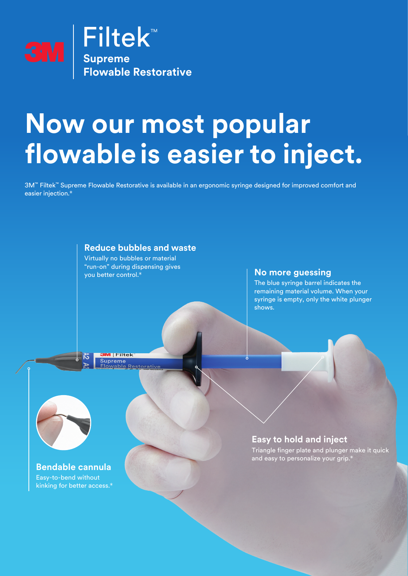

# **Now our most popular flowableis easier to inject.**

3M™ Filtek™ Supreme Flowable Restorative is available in an ergonomic syringe designed for improved comfort and easier injection.\*

### **Reduce bubbles and waste**

Virtually no bubbles or material "run-on" during dispensing gives you better control.\*

#### **No more guessing**

The blue syringe barrel indicates the remaining material volume. When your syringe is empty, only the white plunger shows.





**Bendable cannula** Easy-to-bend without kinking for better access.\*

### **Easy to hold and inject**

Triangle finger plate and plunger make it quick and easy to personalize your grip.\*